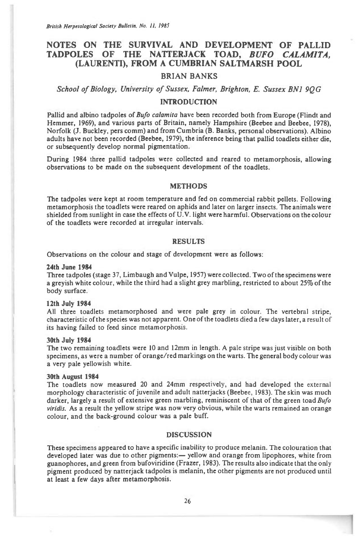British Herpetological Society Bulletin, No. II, 1985

# **NOTES ON THE SURVIVAL AND DEVELOPMENT OF PALLID TADPOLES OF THE NATTERJACK TOAD,** *BUFO CALAMITA,*  **(LAURENTI), FROM A CUMBRIAN SALTMARSH POOL**

## **BRIAN BANKS**

*School of Biology, University of Sussex, Falmer, Brighton, E. Sussex BN1 9QG* 

## **INTRODUCTION**

**Pallid and albino tadpoles of** *Bufo calamita* **have been recorded both from Europe (Flindt and Hemmer, 1969), and various parts of Britain, namely Hampshire (Beebee and Beebee, 1978), Norfolk (J. Buckley, pers comm) and from Cumbria (B. Banks, personal observations). Albino adults have not been recorded (Beebee, 1979), the inference being that pallid toadlets either die, or subsequently develop normal pigmentation.** 

**During 1984 three pallid tadpoles were collected and reared to metamorphosis, allowing observations to be made on the subsequent development of the toadlets.** 

## **METHODS**

**The tadpoles were kept at room temperature and fed on commercial rabbit pellets. Following metamorphosis the toadlets were reared on aphids and later on larger insects. The animals were shielded from sunlight in** *case the* **effects of U.V. light were harmful. Observations on the colour of the toadlets were recorded at irregular intervals.** 

### **RESULTS**

**Observations on the colour and stage of development were as follows:** 

#### **24th June 1984**

**Three tadpoles (stage 37, Limbaugh and Vulpe, 1957) were collected. Two of the specimens were a greyish white colour, while the third had a slight grey marbling, restricted to about 25% of the body surface.** 

#### **12th July 1984**

**All three toadlets metamorphosed and were pale grey in colour. The vertebral stripe, characteristic of the species was not apparent. One of the toadlets died a few days later, a result of its having failed to feed since metamorphosis.** 

#### **30th July 1984**

**The two remaining toadlets were 10 and 12mm in length. A pale stripe was just visible on both specimens, as were a number of orange/red markings on the warts. The general body colour was a very pale yellowish white.** 

#### **30th August 1984**

**The toadlets now measured 20 and 24mm respectively, and had developed the external morphology characteristic of juvenile and adult natterjacks (Beebee, 1983). The skin was much darker, largely a result of extensive green marbling, reminiscent of that of the green toad** *Bufo viridis.* **As a result the yellow stripe was now very obvious, while the warts remained an orange colour, and the back-ground colour was a pale buff.** 

## **DISCUSSION**

**These specimens appeared to have a specific inability to produce melanin. The colouration that developed later was due to other pigments:— yellow and orange from lipophores, white from guanophores, and green from bufoviridine (Frazer, 1983). The results also indicate that the only pigment produced by natterjack tadpoles is melanin, the other pigments are not produced until at least a few days after metamorphosis.**